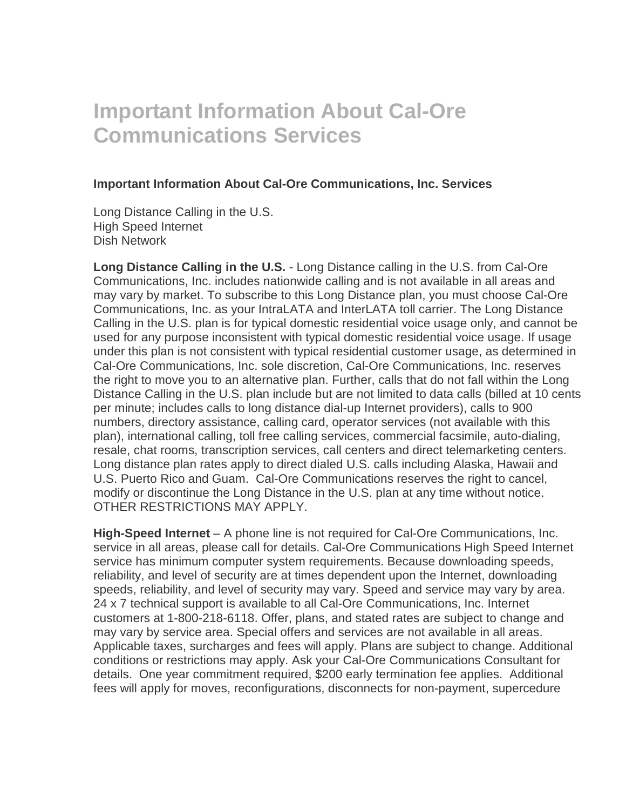## **Important Information About Cal-Ore Communications Services**

## **Important Information About Cal-Ore Communications, Inc. Services**

Long Distance Calling in the U.S. High Speed Internet Dish Network

**Long Distance Calling in the U.S.** - Long Distance calling in the U.S. from Cal-Ore Communications, Inc. includes nationwide calling and is not available in all areas and may vary by market. To subscribe to this Long Distance plan, you must choose Cal-Ore Communications, Inc. as your IntraLATA and InterLATA toll carrier. The Long Distance Calling in the U.S. plan is for typical domestic residential voice usage only, and cannot be used for any purpose inconsistent with typical domestic residential voice usage. If usage under this plan is not consistent with typical residential customer usage, as determined in Cal-Ore Communications, Inc. sole discretion, Cal-Ore Communications, Inc. reserves the right to move you to an alternative plan. Further, calls that do not fall within the Long Distance Calling in the U.S. plan include but are not limited to data calls (billed at 10 cents per minute; includes calls to long distance dial-up Internet providers), calls to 900 numbers, directory assistance, calling card, operator services (not available with this plan), international calling, toll free calling services, commercial facsimile, auto-dialing, resale, chat rooms, transcription services, call centers and direct telemarketing centers. Long distance plan rates apply to direct dialed U.S. calls including Alaska, Hawaii and U.S. Puerto Rico and Guam. Cal-Ore Communications reserves the right to cancel, modify or discontinue the Long Distance in the U.S. plan at any time without notice. OTHER RESTRICTIONS MAY APPLY.

**High-Speed Internet** – A phone line is not required for Cal-Ore Communications, Inc. service in all areas, please call for details. Cal-Ore Communications High Speed Internet service has minimum computer system requirements. Because downloading speeds, reliability, and level of security are at times dependent upon the Internet, downloading speeds, reliability, and level of security may vary. Speed and service may vary by area. 24 x 7 technical support is available to all Cal-Ore Communications, Inc. Internet customers at 1-800-218-6118. Offer, plans, and stated rates are subject to change and may vary by service area. Special offers and services are not available in all areas. Applicable taxes, surcharges and fees will apply. Plans are subject to change. Additional conditions or restrictions may apply. Ask your Cal-Ore Communications Consultant for details. One year commitment required, \$200 early termination fee applies. Additional fees will apply for moves, reconfigurations, disconnects for non-payment, supercedure